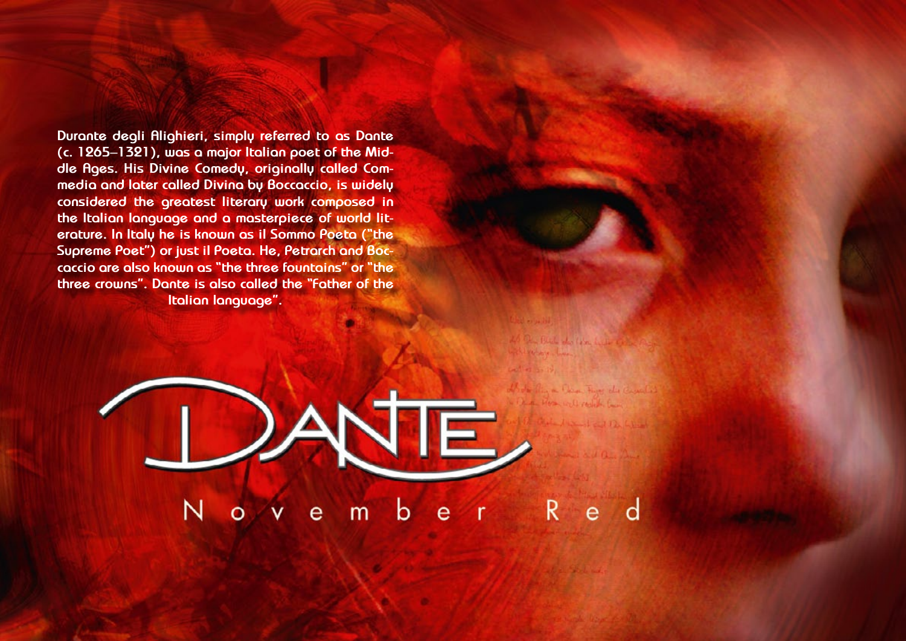**Durante degli Alighieri, simply referred to as Dante (c. 1265–1321), was a major Italian poet of the Middle Ages. His Divine Comedy, originally called Commedia and later called Divina by Boccaccio, is widely considered the greatest literary work composed in the Italian language and a masterpiece of world literature. In Italy he is known as il Sommo Poeta ("the Supreme Poet") or just il Poeta. He, Petrarch and Boccaccio are also known as "the three fountains" or "the three crowns". Dante is also called the "Father of the Italian language".**

N

R

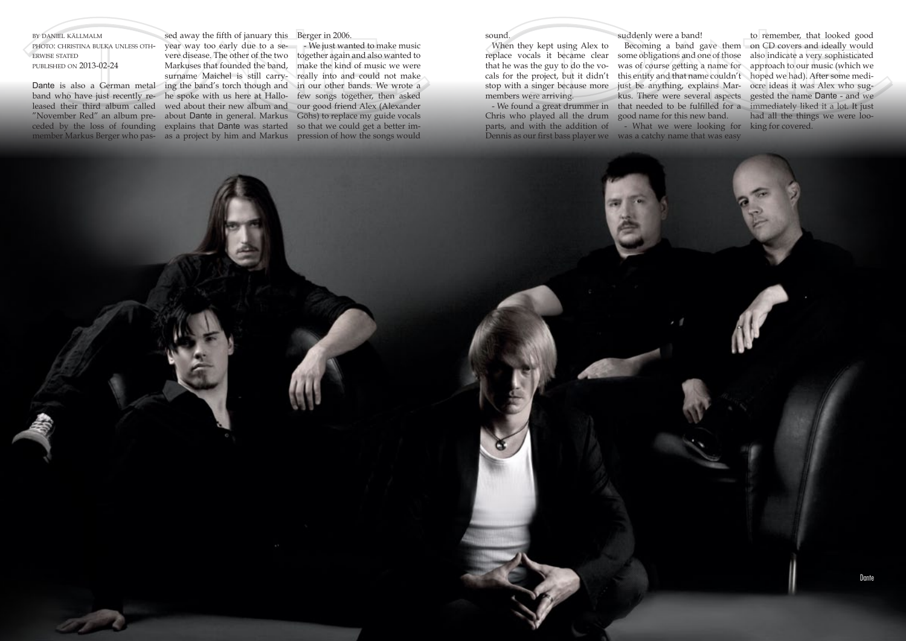Design by Daniel Källmalm

by daniel källmalm photo: christina bulka unless otherwise stated published on 2013-02-24

"November Red" an album pre-about Dante in general. Markus Göhs) to replace my guide vocals year way too early due to a severe disease. The other of the two together again and also wanted to Markuses that founded the band, surname Maichel is still carrying the band's torch though and in our other bands. We wrote a he spoke with us here at Hallowed about their new album and

sed away the fifth of january this Berger in 2006.

Dante is also a German metal band who have just recently released their third album called ceded by the loss of founding explains that Dante was started member Markus Berger who pas-as a project by him and Markus pression of how the songs would

- We just wanted to make music make the kind of music we were really into and could not make few songs together, then asked our good friend Alex (Alexander so that we could get a better im- We found a great drummer in that needed to be fulfilled for a immediately liked it a lot. It just suddenly were a band! Becoming a band gave them on CD covers and ideally would some obligations and one of those was of course getting a name for this entity and that name couldn't just be anything, explains Markus. There were several aspects good name for this new band. - What we were looking for to remember, that looked good also indicate a very sophisticated approach to our music (which we hoped we had). After some mediocre ideas it was Alex who suggested the name Dante - and we had all the things we were looking for covered.

sound.

When they kept using Alex to replace vocals it became clear that he was the guy to do the vocals for the project, but it didn't stop with a singer because more members were arriving.

Chris who played all the drum parts, and with the addition of

Dennis as our first bass player we was a catchy name that was easy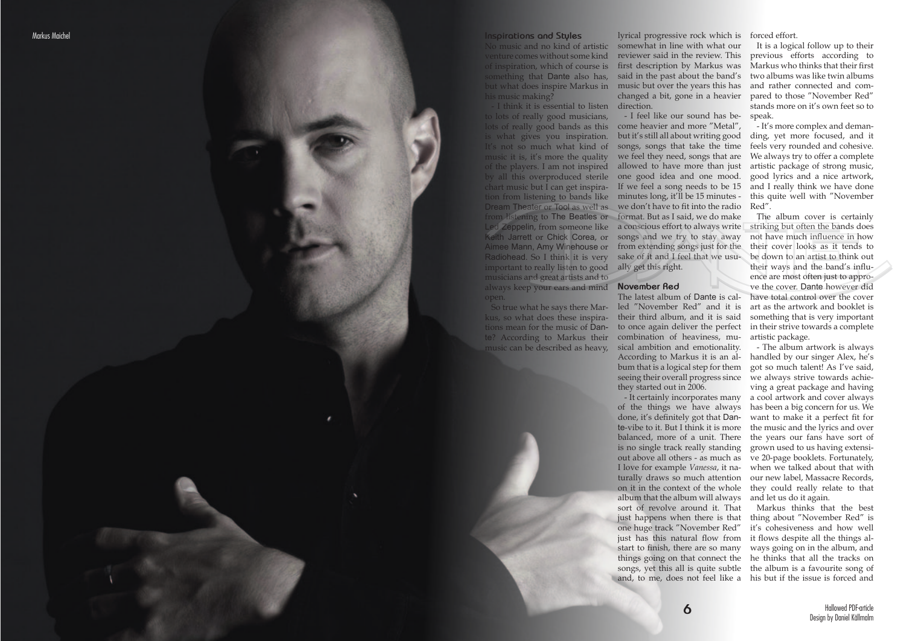# **Inspirations and Styles**

No music and no kind of artistic venture comes without some kind of inspiration, which of course is something that Dante also has, but what does inspire Markus in music but over the years this has his music making?

- I think it is essential to listen direction. to lots of really good musicians, lots of really good bands as this is what gives you inspiration. It's not so much what kind of music it is, it's more the quality of the players. I am not inspired by all this overproduced sterile one good idea and one mood. chart music but I can get inspira tion from listening to bands like minutes long, it'll be 15 minutes - Dream Theater or Tool as well as we don't have to fit into the radio from listening to The Beatles or format. But as I said, we do make Led Zeppelin, from someone like a conscious effort to always write Keith Jarrett or Chick Corea, or songs and we try to stay away Aimee Mann, Amy Winehouse or Radiohead. So I think it is very important to really listen to good musicians and great artists and to always keep your ears and mind open.

So true what he says there Mar kus, so what does these inspira tions mean for the music of Dan te? According to Markus their combination of heaviness, mu music can be described as heavy,

The latest album of Dante is called "November Red" and it is their third album, and it is said to once again deliver the perfect sical ambition and emotionality. According to Markus it is an al bum that is a logical step for them seeing their overall progress since they started out in 2006.

lyrical progressive rock which is forced effort. somewhat in line with what our reviewer said in the review. This first description by Markus was said in the past about the band's changed a bit, gone in a heavier

- I feel like our sound has be - speak. come heavier and more "Metal", but it's still all about writing good songs, songs that take the time we feel they need, songs that are allowed to have more than just If we feel a song needs to be 15 from extending songs just for the sake of it and I feel that we usu ally get this right.

## **November Red**

It is a logical follow up to their previous efforts according to Markus who thinks that their first two albums was like twin albums and rather connected and com pared to those "November Red" stands more on it's own feet so to

- It's more complex and deman ding, yet more focused, and it feels very rounded and cohesive. We always try to offer a complete artistic package of strong music, good lyrics and a nice artwork, and I really think we have done this quite well with "November Red".

- It certainly incorporates many of the things we have always done, it's definitely got that Dan te-vibe to it. But I think it is more balanced, more of a unit. There is no single track really standing out above all others - as much as I love for example *Vanessa*, it na turally draws so much attention on it in the context of the whole album that the album will always sort of revolve around it. That just happens when there is that one huge track "November Red" just has this natural flow from start to finish, there are so many things going on that connect the songs, yet this all is quite subtle and, to me, does not feel like a his but if the issue is forced and

The album cover is certainly striking but often the bands does not have much influence in how their cover looks as it tends to be down to an artist to think out their ways and the band's influ ence are most often just to appro ve the cover. Dante however did have total control over the cover art as the artwork and booklet is something that is very important in their strive towards a complete artistic package.

- The album artwork is always handled by our singer Alex, he's got so much talent! As I've said, we always strive towards achie ving a great package and having a cool artwork and cover always has been a big concern for us. We want to make it a perfect fit for the music and the lyrics and over the years our fans have sort of grown used to us having extensi ve 20-page booklets. Fortunately, when we talked about that with our new label, Massacre Records, they could really relate to that and let us do it again.

Markus thinks that the best thing about "November Red" is it's cohesiveness and how well it flows despite all the things al ways going on in the album, and he thinks that all the tracks on the album is a favourite song of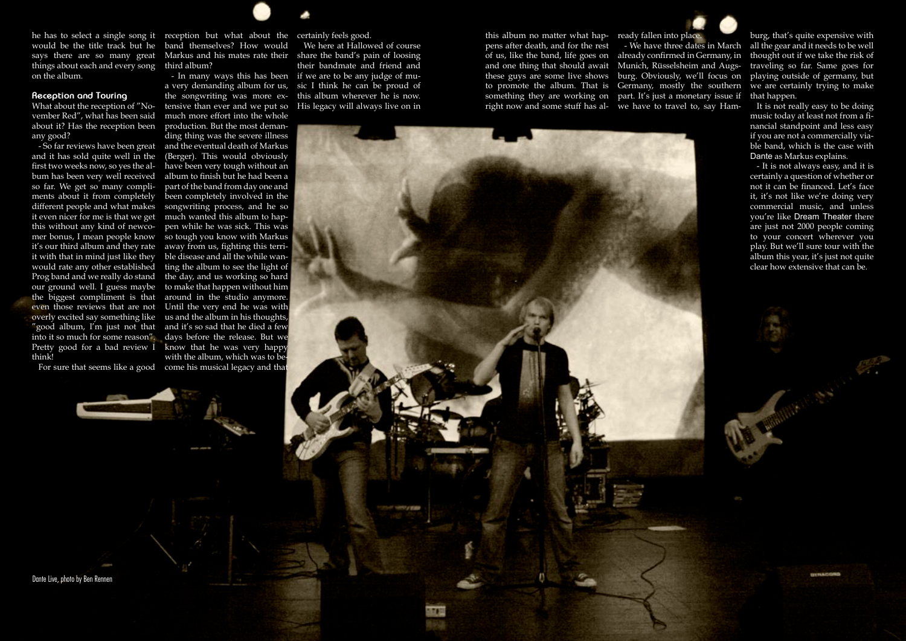

- So far reviews have been great and the eventual death of Markus For sure that seems like a good come his musical legacy and that a very demanding album for us, sic I think he can be proud of the songwriting was more ex-this album wherever he is now. tensive than ever and we put so much more effort into the whole ding thing was the severe illness (Berger). This would obviously have been very tough without an album to finish but he had been a part of the band from day one and been completely involved in the songwriting process, and he so much wanted this album to happen while he was sick. This was so tough you know with Markus away from us, fighting this terrible disease and all the while wanting the album to see the light of the day, and us working so hard to make that happen without him around in the studio anymore. Until the very end he was with us and the album in his thoughts, days before the release. But we know that he was very happy with the album, which was to be-

### **Reception and Touring**

What about the reception of "November Red", what has been said about it? Has the reception been production. But the most demanany good?

and it has sold quite well in the first two weeks now, so yes the album has been very well received so far. We get so many compliments about it from completely different people and what makes it even nicer for me is that we get this without any kind of newcomer bonus, I mean people know it's our third album and they rate it with that in mind just like they would rate any other established Prog band and we really do stand our ground well. I guess maybe the biggest compliment is that even those reviews that are not overly excited say something like " good album, I'm just not that and it's so sad that he died a few into it so much for some reason". Pretty good for a bad review I think!

band themselves? How would third album?

Markus and his mates rate their share the band's pain of loosing - In many ways this has been if we are to be any judge of mu-We here at Hallowed of course their bandmate and friend and His legacy will always live on in

certainly feels good.

this album no matter what hap-ready fallen into place. pens after death, and for the rest of us, like the band, life goes on already confirmed in Germany, in and one thing that should await Munich, Rüsselsheim and Augsthese guys are some live shows burg. Obviously, we'll focus on to promote the album. That is Germany, mostly the southern something they are working on part. It's just a monetary issue if right now and some stuff has al-we have to travel to, say Ham-

- We have three dates in March



burg, that's quite expensive with all the gear and it needs to be well thought out if we take the risk of traveling so far. Same goes for playing outside of germany, but we are certainly trying to make that happen.

It is not really easy to be doing music today at least not from a financial standpoint and less easy if you are not a commercially viable band, which is the case with Dante as Markus explains.

- It is not always easy, and it is certainly a question of whether or not it can be financed. Let's face it, it's not like we're doing very commercial music, and unless you're like Dream Theater there are just not 2000 people coming to your concert wherever you play. But we'll sure tour with the album this year, it's just not quite clear how extensive that can be.

Dante Live, photo by Ben Rennen